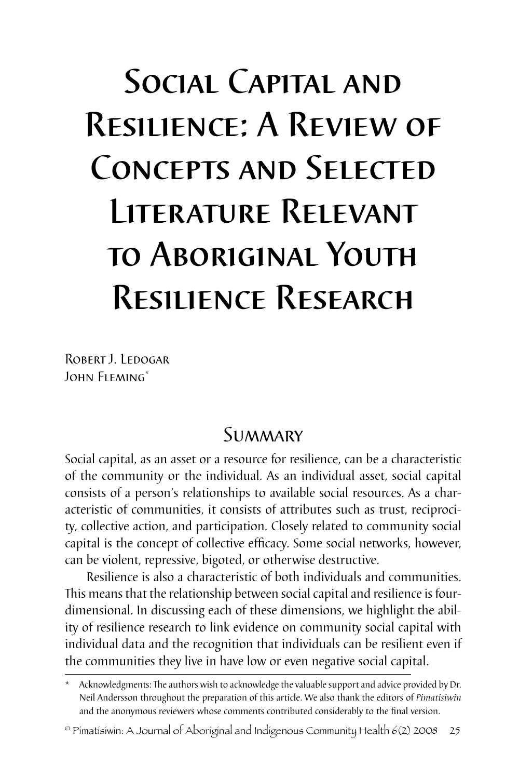# Social Capital and Resilience: A Review of Concepts and Selected Literature Relevant to Aboriginal Youth Resilience Research

ROBERT J. LEDOGAR John Fleming\*

# **SUMMARY**

Social capital, as an asset or a resource for resilience, can be a characteristic of the community or the individual. As an individual asset, social capital consists of a person's relationships to available social resources. As a characteristic of communities, it consists of attributes such as trust, reciprocity, collective action, and participation. Closely related to community social capital is the concept of collective efficacy. Some social networks, however, can be violent, repressive, bigoted, or otherwise destructive.

Resilience is also a characteristic of both individuals and communities. This means that the relationship between social capital and resilience is fourdimensional. In discussing each of these dimensions, we highlight the ability of resilience research to link evidence on community social capital with individual data and the recognition that individuals can be resilient even if the communities they live in have low or even negative social capital.

Acknowledgments: The authors wish to acknowledge the valuable support and advice provided by Dr. Neil Andersson throughout the preparation of this article. We also thank the editors of *Pimatisiwin* and the anonymous reviewers whose comments contributed considerably to the final version.

 $^{\circ}$  Pimatisiwin: A Journal of Aboriginal and Indigenous Community Health 6(2) 2008 25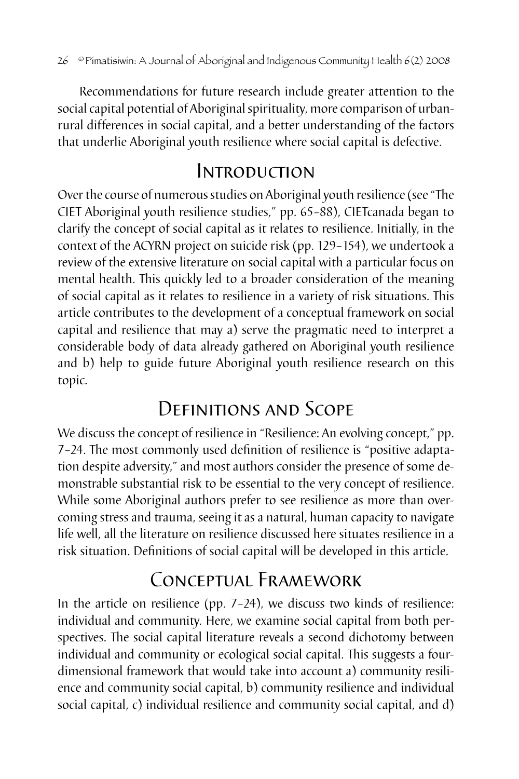Recommendations for future research include greater attention to the social capital potential of Aboriginal spirituality, more comparison of urbanrural differences in social capital, and a better understanding of the factors that underlie Aboriginal youth resilience where social capital is defective.

## Introduction

Over the course of numerous studies on Aboriginal youth resilience (see "The CIET Aboriginal youth resilience studies," pp. 65–88), CIETcanada began to clarify the concept of social capital as it relates to resilience. Initially, in the context of the ACYRN project on suicide risk (pp. 129–154), we undertook a review of the extensive literature on social capital with a particular focus on mental health. This quickly led to a broader consideration of the meaning of social capital as it relates to resilience in a variety of risk situations. This article contributes to the development of a conceptual framework on social capital and resilience that may a) serve the pragmatic need to interpret a considerable body of data already gathered on Aboriginal youth resilience and b) help to guide future Aboriginal youth resilience research on this topic.

# Definitions and Scope

We discuss the concept of resilience in "Resilience: An evolving concept," pp. 7–24. The most commonly used definition of resilience is "positive adaptation despite adversity," and most authors consider the presence of some demonstrable substantial risk to be essential to the very concept of resilience. While some Aboriginal authors prefer to see resilience as more than overcoming stress and trauma, seeing it as a natural, human capacity to navigate life well, all the literature on resilience discussed here situates resilience in a risk situation. Definitions of social capital will be developed in this article.

# Conceptual Framework

In the article on resilience (pp. 7–24), we discuss two kinds of resilience: individual and community. Here, we examine social capital from both perspectives. The social capital literature reveals a second dichotomy between individual and community or ecological social capital. This suggests a fourdimensional framework that would take into account a) community resilience and community social capital, b) community resilience and individual social capital, c) individual resilience and community social capital, and d)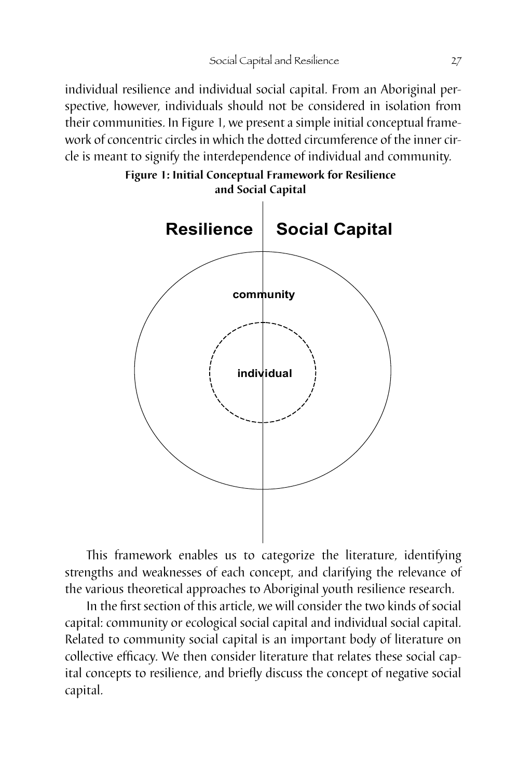individual resilience and individual social capital. From an Aboriginal perspective, however, individuals should not be considered in isolation from their communities. In Figure 1, we present a simple initial conceptual framework of concentric circles in which the dotted circumference of the inner circle is meant to signify the interdependence of individual and community.



This framework enables us to categorize the literature, identifying strengths and weaknesses of each concept, and clarifying the relevance of the various theoretical approaches to Aboriginal youth resilience research.

In the first section of this article, we will consider the two kinds of social capital: community or ecological social capital and individual social capital. Related to community social capital is an important body of literature on collective efficacy. We then consider literature that relates these social capital concepts to resilience, and briefly discuss the concept of negative social capital.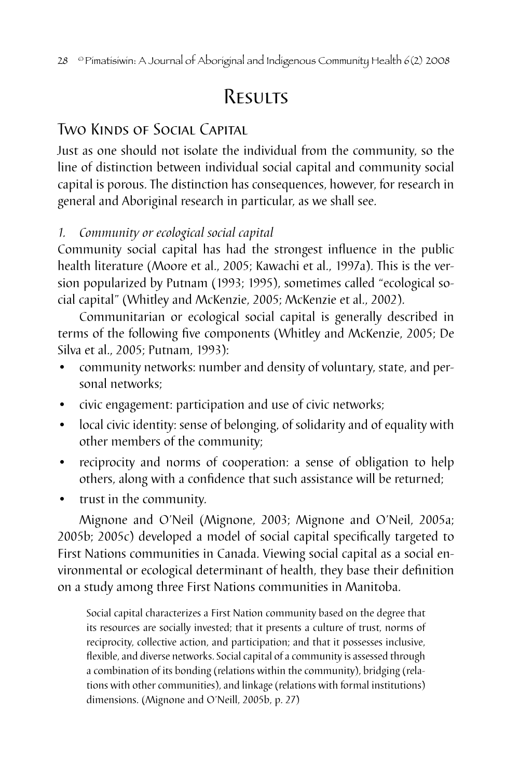# **RESULTS**

## Two Kinds of Social Capital

Just as one should not isolate the individual from the community, so the line of distinction between individual social capital and community social capital is porous. The distinction has consequences, however, for research in general and Aboriginal research in particular, as we shall see.

#### *1. Community or ecological social capital*

Community social capital has had the strongest influence in the public health literature (Moore et al., 2005; Kawachi et al., 1997a). This is the version popularized by Putnam (1993; 1995), sometimes called "ecological social capital" (Whitley and McKenzie, 2005; McKenzie et al., 2002).

Communitarian or ecological social capital is generally described in terms of the following five components (Whitley and McKenzie, 2005; De Silva et al., 2005; Putnam, 1993):

- community networks: number and density of voluntary, state, and personal networks;
- civic engagement: participation and use of civic networks;
- local civic identity: sense of belonging, of solidarity and of equality with other members of the community;
- reciprocity and norms of cooperation: a sense of obligation to help others, along with a confidence that such assistance will be returned;
- trust in the community.

Mignone and O'Neil (Mignone, 2003; Mignone and O'Neil, 2005a; 2005b; 2005c) developed a model of social capital specifically targeted to First Nations communities in Canada. Viewing social capital as a social environmental or ecological determinant of health, they base their definition on a study among three First Nations communities in Manitoba.

Social capital characterizes a First Nation community based on the degree that its resources are socially invested; that it presents a culture of trust, norms of reciprocity, collective action, and participation; and that it possesses inclusive, flexible, and diverse networks. Social capital of a community is assessed through a combination of its bonding (relations within the community), bridging (relations with other communities), and linkage (relations with formal institutions) dimensions. (Mignone and O'Neill, 2005b, p. 27)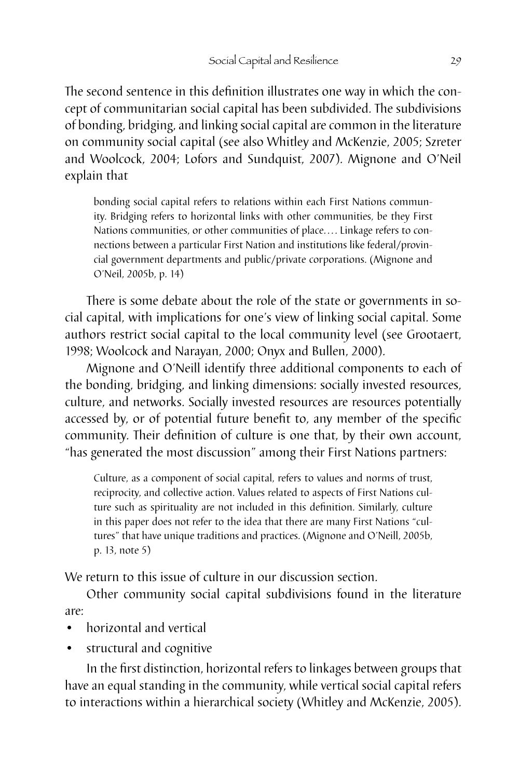The second sentence in this definition illustrates one way in which the concept of communitarian social capital has been subdivided. The subdivisions of bonding, bridging, and linking social capital are common in the literature on community social capital (see also Whitley and McKenzie, 2005; Szreter and Woolcock, 2004; Lofors and Sundquist, 2007). Mignone and O'Neil explain that

bonding social capital refers to relations within each First Nations community. Bridging refers to horizontal links with other communities, be they First Nations communities, or other communities of place.... Linkage refers to connections between a particular First Nation and institutions like federal/provincial government departments and public/private corporations. (Mignone and O'Neil, 2005b, p. 14)

There is some debate about the role of the state or governments in social capital, with implications for one's view of linking social capital. Some authors restrict social capital to the local community level (see Grootaert, 1998; Woolcock and Narayan, 2000; Onyx and Bullen, 2000).

Mignone and O'Neill identify three additional components to each of the bonding, bridging, and linking dimensions: socially invested resources, culture, and networks. Socially invested resources are resources potentially accessed by, or of potential future benefit to, any member of the specific community. Their definition of culture is one that, by their own account, "has generated the most discussion" among their First Nations partners:

Culture, as a component of social capital, refers to values and norms of trust, reciprocity, and collective action. Values related to aspects of First Nations culture such as spirituality are not included in this definition. Similarly, culture in this paper does not refer to the idea that there are many First Nations "cultures" that have unique traditions and practices. (Mignone and O'Neill, 2005b, p. 13, note 5)

We return to this issue of culture in our discussion section.

Other community social capital subdivisions found in the literature are:

- horizontal and vertical
- structural and cognitive

In the first distinction, horizontal refers to linkages between groups that have an equal standing in the community, while vertical social capital refers to interactions within a hierarchical society (Whitley and McKenzie, 2005).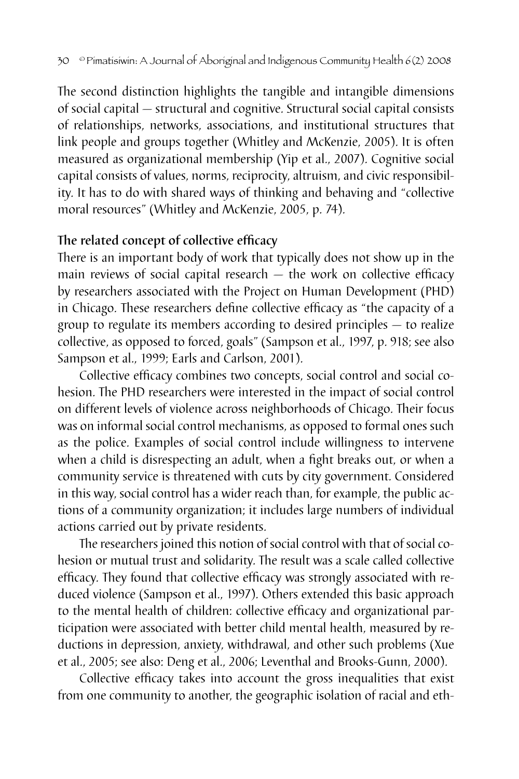The second distinction highlights the tangible and intangible dimensions of social capital — structural and cognitive. Structural social capital consists of relationships, networks, associations, and institutional structures that link people and groups together (Whitley and McKenzie, 2005). It is often measured as organizational membership (Yip et al., 2007). Cognitive social capital consists of values, norms, reciprocity, altruism, and civic responsibility. It has to do with shared ways of thinking and behaving and "collective moral resources" (Whitley and McKenzie, 2005, p. 74).

#### The related concept of collective efficacy

There is an important body of work that typically does not show up in the main reviews of social capital research — the work on collective efficacy by researchers associated with the Project on Human Development (PHD) in Chicago. These researchers define collective efficacy as "the capacity of a group to regulate its members according to desired principles — to realize collective, as opposed to forced, goals" (Sampson et al., 1997, p. 918; see also Sampson et al., 1999; Earls and Carlson, 2001).

Collective efficacy combines two concepts, social control and social cohesion. The PHD researchers were interested in the impact of social control on different levels of violence across neighborhoods of Chicago. Their focus was on informal social control mechanisms, as opposed to formal ones such as the police. Examples of social control include willingness to intervene when a child is disrespecting an adult, when a fight breaks out, or when a community service is threatened with cuts by city government. Considered in this way, social control has a wider reach than, for example, the public actions of a community organization; it includes large numbers of individual actions carried out by private residents.

The researchers joined this notion of social control with that of social cohesion or mutual trust and solidarity. The result was a scale called collective efficacy. They found that collective efficacy was strongly associated with reduced violence (Sampson et al., 1997). Others extended this basic approach to the mental health of children: collective efficacy and organizational participation were associated with better child mental health, measured by reductions in depression, anxiety, withdrawal, and other such problems (Xue et al., 2005; see also: Deng et al., 2006; Leventhal and Brooks-Gunn, 2000).

Collective efficacy takes into account the gross inequalities that exist from one community to another, the geographic isolation of racial and eth-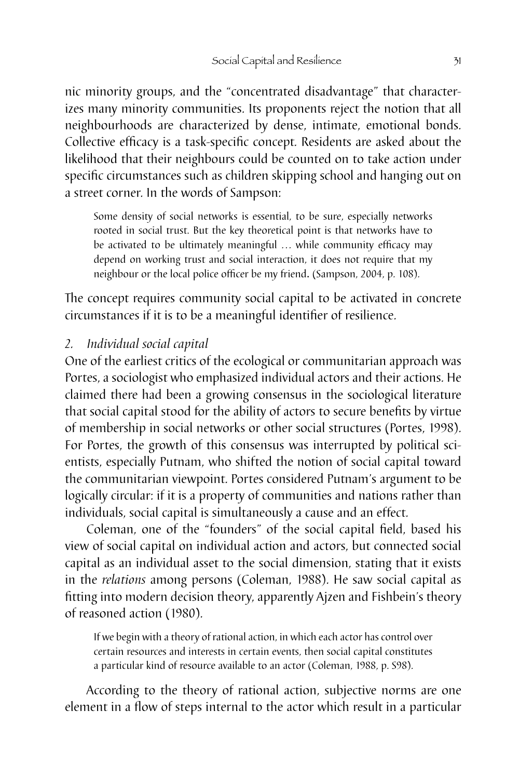nic minority groups, and the "concentrated disadvantage" that characterizes many minority communities. Its proponents reject the notion that all neighbourhoods are characterized by dense, intimate, emotional bonds. Collective efficacy is a task-specific concept. Residents are asked about the likelihood that their neighbours could be counted on to take action under specific circumstances such as children skipping school and hanging out on a street corner. In the words of Sampson:

Some density of social networks is essential, to be sure, especially networks rooted in social trust. But the key theoretical point is that networks have to be activated to be ultimately meaningful ... while community efficacy may depend on working trust and social interaction, it does not require that my neighbour or the local police officer be my friend. (Sampson, 2004, p. 108).

The concept requires community social capital to be activated in concrete circumstances if it is to be a meaningful identifier of resilience.

#### *2. Individual social capital*

One of the earliest critics of the ecological or communitarian approach was Portes, a sociologist who emphasized individual actors and their actions. He claimed there had been a growing consensus in the sociological literature that social capital stood for the ability of actors to secure benefits by virtue of membership in social networks or other social structures (Portes, 1998). For Portes, the growth of this consensus was interrupted by political scientists, especially Putnam, who shifted the notion of social capital toward the communitarian viewpoint. Portes considered Putnam's argument to be logically circular: if it is a property of communities and nations rather than individuals, social capital is simultaneously a cause and an effect.

Coleman, one of the "founders" of the social capital field, based his view of social capital on individual action and actors, but connected social capital as an individual asset to the social dimension, stating that it exists in the *relations* among persons (Coleman, 1988). He saw social capital as fitting into modern decision theory, apparently Ajzen and Fishbein's theory of reasoned action (1980).

If we begin with a theory of rational action, in which each actor has control over certain resources and interests in certain events, then social capital constitutes a particular kind of resource available to an actor (Coleman, 1988, p. S98).

According to the theory of rational action, subjective norms are one element in a flow of steps internal to the actor which result in a particular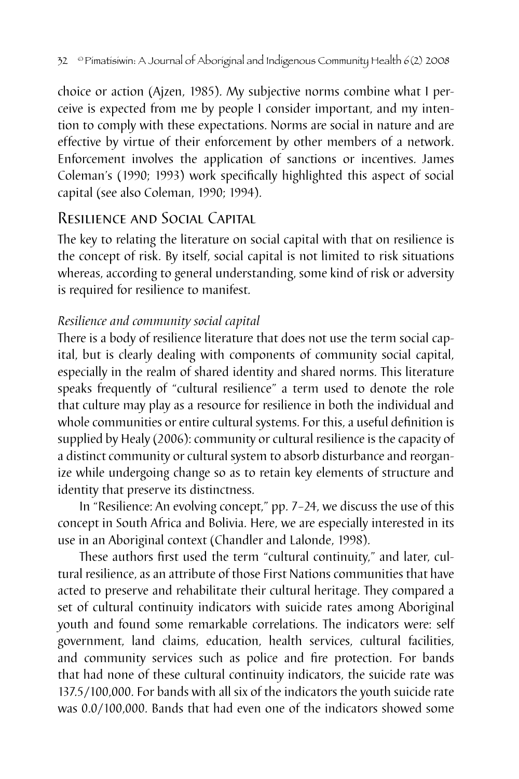choice or action (Ajzen, 1985). My subjective norms combine what I perceive is expected from me by people I consider important, and my intention to comply with these expectations. Norms are social in nature and are effective by virtue of their enforcement by other members of a network. Enforcement involves the application of sanctions or incentives. James Coleman's (1990; 1993) work specifically highlighted this aspect of social capital (see also Coleman, 1990; 1994).

## Resilience and Social Capital

The key to relating the literature on social capital with that on resilience is the concept of risk. By itself, social capital is not limited to risk situations whereas, according to general understanding, some kind of risk or adversity is required for resilience to manifest.

### *Resilience and community social capital*

There is a body of resilience literature that does not use the term social capital, but is clearly dealing with components of community social capital, especially in the realm of shared identity and shared norms. This literature speaks frequently of "cultural resilience" a term used to denote the role that culture may play as a resource for resilience in both the individual and whole communities or entire cultural systems. For this, a useful definition is supplied by Healy (2006): community or cultural resilience is the capacity of a distinct community or cultural system to absorb disturbance and reorganize while undergoing change so as to retain key elements of structure and identity that preserve its distinctness.

In "Resilience: An evolving concept," pp. 7–24, we discuss the use of this concept in South Africa and Bolivia. Here, we are especially interested in its use in an Aboriginal context (Chandler and Lalonde, 1998).

These authors first used the term "cultural continuity," and later, cultural resilience, as an attribute of those First Nations communities that have acted to preserve and rehabilitate their cultural heritage. They compared a set of cultural continuity indicators with suicide rates among Aboriginal youth and found some remarkable correlations. The indicators were: self government, land claims, education, health services, cultural facilities, and community services such as police and fire protection. For bands that had none of these cultural continuity indicators, the suicide rate was 137.5/100,000. For bands with all six of the indicators the youth suicide rate was 0.0/100,000. Bands that had even one of the indicators showed some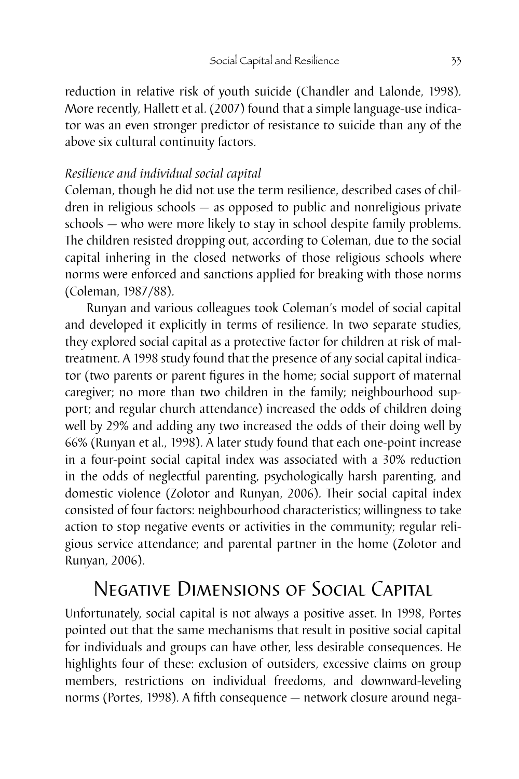reduction in relative risk of youth suicide (Chandler and Lalonde, 1998). More recently, Hallett et al. (2007) found that a simple language-use indicator was an even stronger predictor of resistance to suicide than any of the above six cultural continuity factors.

#### *Resilience and individual social capital*

Coleman, though he did not use the term resilience, described cases of children in religious schools — as opposed to public and nonreligious private schools — who were more likely to stay in school despite family problems. The children resisted dropping out, according to Coleman, due to the social capital inhering in the closed networks of those religious schools where norms were enforced and sanctions applied for breaking with those norms (Coleman, 1987/88).

Runyan and various colleagues took Coleman's model of social capital and developed it explicitly in terms of resilience. In two separate studies, they explored social capital as a protective factor for children at risk of maltreatment. A 1998 study found that the presence of any social capital indicator (two parents or parent figures in the home; social support of maternal caregiver; no more than two children in the family; neighbourhood support; and regular church attendance) increased the odds of children doing well by 29% and adding any two increased the odds of their doing well by 66% (Runyan et al., 1998). A later study found that each one-point increase in a four-point social capital index was associated with a 30% reduction in the odds of neglectful parenting, psychologically harsh parenting, and domestic violence (Zolotor and Runyan, 2006). Their social capital index consisted of four factors: neighbourhood characteristics; willingness to take action to stop negative events or activities in the community; regular religious service attendance; and parental partner in the home (Zolotor and Runyan, 2006).

## Negative Dimensions of Social Capital

Unfortunately, social capital is not always a positive asset. In 1998, Portes pointed out that the same mechanisms that result in positive social capital for individuals and groups can have other, less desirable consequences. He highlights four of these: exclusion of outsiders, excessive claims on group members, restrictions on individual freedoms, and downward-leveling norms (Portes, 1998). A fifth consequence — network closure around nega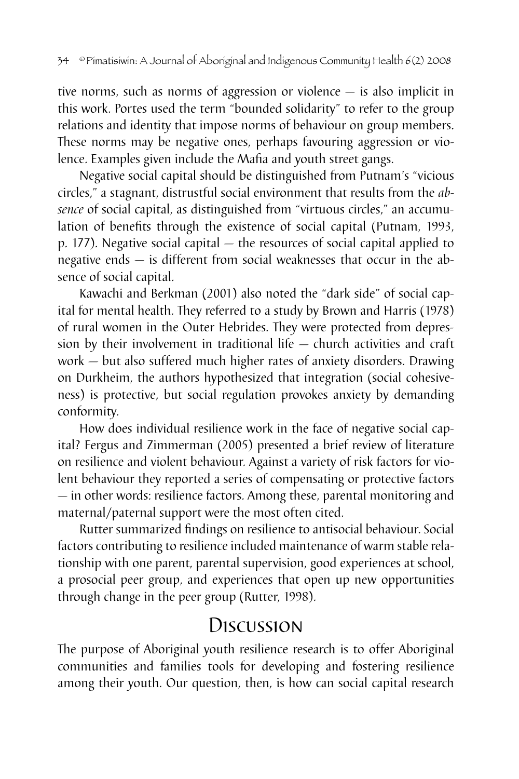tive norms, such as norms of aggression or violence — is also implicit in this work. Portes used the term "bounded solidarity" to refer to the group relations and identity that impose norms of behaviour on group members. These norms may be negative ones, perhaps favouring aggression or violence. Examples given include the Mafia and youth street gangs.

Negative social capital should be distinguished from Putnam's "vicious circles," a stagnant, distrustful social environment that results from the *absence* of social capital, as distinguished from "virtuous circles," an accumulation of benefits through the existence of social capital (Putnam, 1993, p. 177). Negative social capital — the resources of social capital applied to negative ends — is different from social weaknesses that occur in the absence of social capital.

Kawachi and Berkman (2001) also noted the "dark side" of social capital for mental health. They referred to a study by Brown and Harris (1978) of rural women in the Outer Hebrides. They were protected from depression by their involvement in traditional life — church activities and craft work — but also suffered much higher rates of anxiety disorders. Drawing on Durkheim, the authors hypothesized that integration (social cohesiveness) is protective, but social regulation provokes anxiety by demanding conformity.

How does individual resilience work in the face of negative social capital? Fergus and Zimmerman (2005) presented a brief review of literature on resilience and violent behaviour. Against a variety of risk factors for violent behaviour they reported a series of compensating or protective factors — in other words: resilience factors. Among these, parental monitoring and maternal/paternal support were the most often cited.

Rutter summarized findings on resilience to antisocial behaviour. Social factors contributing to resilience included maintenance of warm stable relationship with one parent, parental supervision, good experiences at school, a prosocial peer group, and experiences that open up new opportunities through change in the peer group (Rutter, 1998).

# **Discussion**

The purpose of Aboriginal youth resilience research is to offer Aboriginal communities and families tools for developing and fostering resilience among their youth. Our question, then, is how can social capital research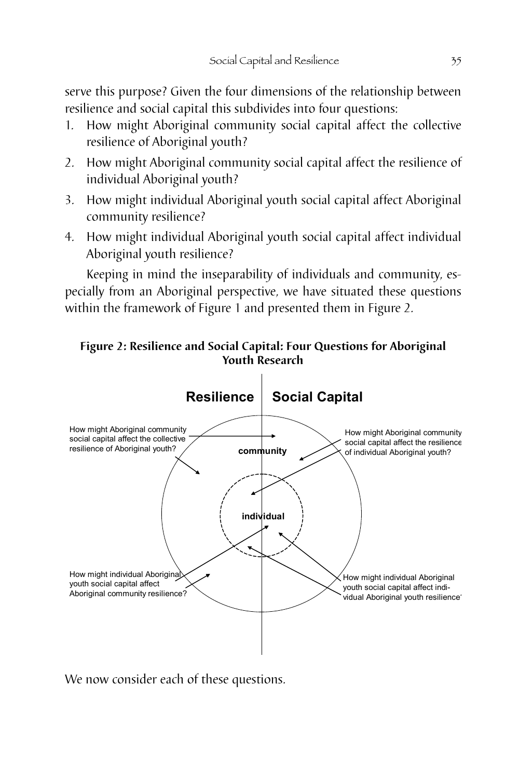serve this purpose? Given the four dimensions of the relationship between resilience and social capital this subdivides into four questions:

- 1. How might Aboriginal community social capital affect the collective resilience of Aboriginal youth?
- 2. How might Aboriginal community social capital affect the resilience of individual Aboriginal youth?
- 3. How might individual Aboriginal youth social capital affect Aboriginal community resilience?
- 4. How might individual Aboriginal youth social capital affect individual Aboriginal youth resilience?

Keeping in mind the inseparability of individuals and community, especially from an Aboriginal perspective, we have situated these questions within the framework of Figure 1 and presented them in Figure 2.





We now consider each of these questions.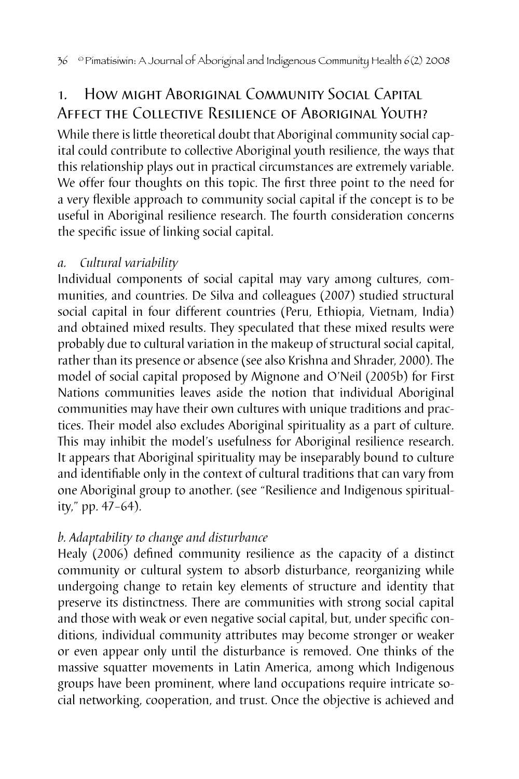## 1. How might Aboriginal Community Social Capital Affect the Collective Resilience of Aboriginal Youth?

While there is little theoretical doubt that Aboriginal community social capital could contribute to collective Aboriginal youth resilience, the ways that this relationship plays out in practical circumstances are extremely variable. We offer four thoughts on this topic. The first three point to the need for a very flexible approach to community social capital if the concept is to be useful in Aboriginal resilience research. The fourth consideration concerns the specific issue of linking social capital.

### *a. Cultural variability*

Individual components of social capital may vary among cultures, communities, and countries. De Silva and colleagues (2007) studied structural social capital in four different countries (Peru, Ethiopia, Vietnam, India) and obtained mixed results. They speculated that these mixed results were probably due to cultural variation in the makeup of structural social capital, rather than its presence or absence (see also Krishna and Shrader, 2000). The model of social capital proposed by Mignone and O'Neil (2005b) for First Nations communities leaves aside the notion that individual Aboriginal communities may have their own cultures with unique traditions and practices. Their model also excludes Aboriginal spirituality as a part of culture. This may inhibit the model's usefulness for Aboriginal resilience research. It appears that Aboriginal spirituality may be inseparably bound to culture and identifiable only in the context of cultural traditions that can vary from one Aboriginal group to another. (see "Resilience and Indigenous spirituality," pp. 47–64).

## *b. Adaptability to change and disturbance*

Healy (2006) defined community resilience as the capacity of a distinct community or cultural system to absorb disturbance, reorganizing while undergoing change to retain key elements of structure and identity that preserve its distinctness. There are communities with strong social capital and those with weak or even negative social capital, but, under specific conditions, individual community attributes may become stronger or weaker or even appear only until the disturbance is removed. One thinks of the massive squatter movements in Latin America, among which Indigenous groups have been prominent, where land occupations require intricate social networking, cooperation, and trust. Once the objective is achieved and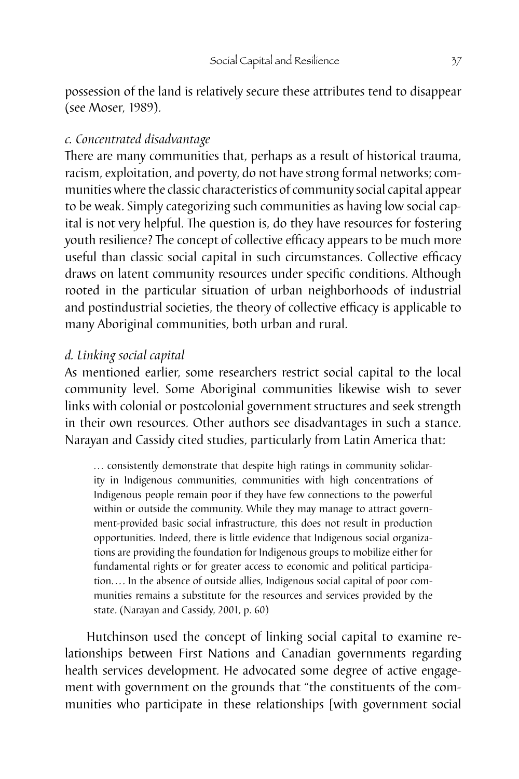possession of the land is relatively secure these attributes tend to disappear (see Moser, 1989).

#### *c. Concentrated disadvantage*

There are many communities that, perhaps as a result of historical trauma, racism, exploitation, and poverty, do not have strong formal networks; communities where the classic characteristics of community social capital appear to be weak. Simply categorizing such communities as having low social capital is not very helpful. The question is, do they have resources for fostering youth resilience? The concept of collective efficacy appears to be much more useful than classic social capital in such circumstances. Collective efficacy draws on latent community resources under specific conditions. Although rooted in the particular situation of urban neighborhoods of industrial and postindustrial societies, the theory of collective efficacy is applicable to many Aboriginal communities, both urban and rural.

#### *d. Linking social capital*

As mentioned earlier, some researchers restrict social capital to the local community level. Some Aboriginal communities likewise wish to sever links with colonial or postcolonial government structures and seek strength in their own resources. Other authors see disadvantages in such a stance. Narayan and Cassidy cited studies, particularly from Latin America that:

... consistently demonstrate that despite high ratings in community solidarity in Indigenous communities, communities with high concentrations of Indigenous people remain poor if they have few connections to the powerful within or outside the community. While they may manage to attract government-provided basic social infrastructure, this does not result in production opportunities. Indeed, there is little evidence that Indigenous social organizations are providing the foundation for Indigenous groups to mobilize either for fundamental rights or for greater access to economic and political participation.... In the absence of outside allies, Indigenous social capital of poor communities remains a substitute for the resources and services provided by the state. (Narayan and Cassidy, 2001, p. 60)

Hutchinson used the concept of linking social capital to examine relationships between First Nations and Canadian governments regarding health services development. He advocated some degree of active engagement with government on the grounds that "the constituents of the communities who participate in these relationships [with government social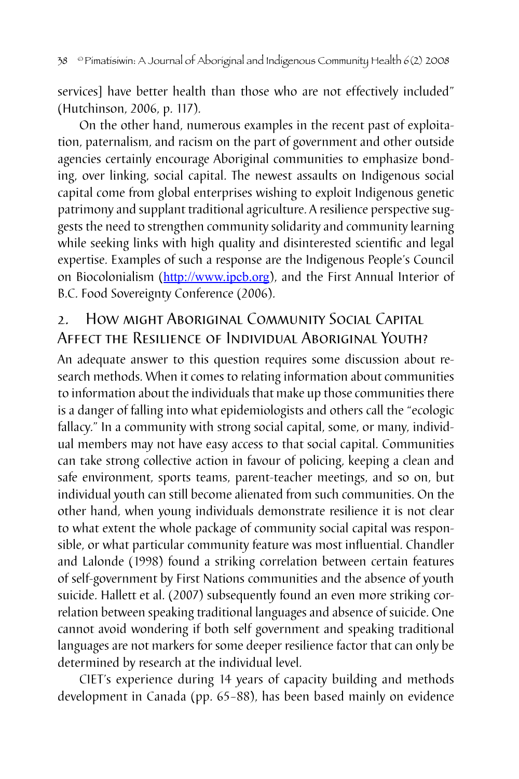services] have better health than those who are not effectively included" (Hutchinson, 2006, p. 117).

On the other hand, numerous examples in the recent past of exploitation, paternalism, and racism on the part of government and other outside agencies certainly encourage Aboriginal communities to emphasize bonding, over linking, social capital. The newest assaults on Indigenous social capital come from global enterprises wishing to exploit Indigenous genetic patrimony and supplant traditional agriculture. A resilience perspective suggests the need to strengthen community solidarity and community learning while seeking links with high quality and disinterested scientific and legal expertise. Examples of such a response are the Indigenous People's Council on Biocolonialism (http://www.ipcb.org), and the First Annual Interior of B.C. Food Sovereignty Conference (2006).

## 2. How might Aboriginal Community Social Capital Affect the Resilience of Individual Aboriginal Youth?

An adequate answer to this question requires some discussion about research methods. When it comes to relating information about communities to information about the individuals that make up those communities there is a danger of falling into what epidemiologists and others call the "ecologic fallacy." In a community with strong social capital, some, or many, individual members may not have easy access to that social capital. Communities can take strong collective action in favour of policing, keeping a clean and safe environment, sports teams, parent-teacher meetings, and so on, but individual youth can still become alienated from such communities. On the other hand, when young individuals demonstrate resilience it is not clear to what extent the whole package of community social capital was responsible, or what particular community feature was most influential. Chandler and Lalonde (1998) found a striking correlation between certain features of self-government by First Nations communities and the absence of youth suicide. Hallett et al. (2007) subsequently found an even more striking correlation between speaking traditional languages and absence of suicide. One cannot avoid wondering if both self government and speaking traditional languages are not markers for some deeper resilience factor that can only be determined by research at the individual level.

CIET's experience during 14 years of capacity building and methods development in Canada (pp. 65–88), has been based mainly on evidence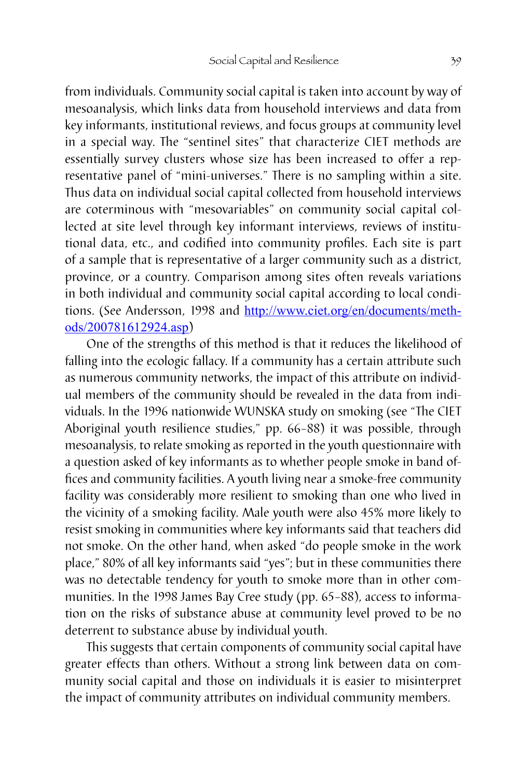from individuals. Community social capital is taken into account by way of mesoanalysis, which links data from household interviews and data from key informants, institutional reviews, and focus groups at community level in a special way. The "sentinel sites" that characterize CIET methods are essentially survey clusters whose size has been increased to offer a representative panel of "mini-universes." There is no sampling within a site. Thus data on individual social capital collected from household interviews are coterminous with "mesovariables" on community social capital collected at site level through key informant interviews, reviews of institutional data, etc., and codified into community profiles. Each site is part of a sample that is representative of a larger community such as a district, province, or a country. Comparison among sites often reveals variations in both individual and community social capital according to local conditions. (See Andersson, 1998 and [http://www.ciet.org/en/documents/meth](http://www.ciet.org/en/documents/methods/200781612924.asp)[ods/200781612924.asp](http://www.ciet.org/en/documents/methods/200781612924.asp))

One of the strengths of this method is that it reduces the likelihood of falling into the ecologic fallacy. If a community has a certain attribute such as numerous community networks, the impact of this attribute on individual members of the community should be revealed in the data from individuals. In the 1996 nationwide WUNSKA study on smoking (see "The CIET Aboriginal youth resilience studies," pp. 66–88) it was possible, through mesoanalysis, to relate smoking as reported in the youth questionnaire with a question asked of key informants as to whether people smoke in band offices and community facilities. A youth living near a smoke-free community facility was considerably more resilient to smoking than one who lived in the vicinity of a smoking facility. Male youth were also 45% more likely to resist smoking in communities where key informants said that teachers did not smoke. On the other hand, when asked "do people smoke in the work place," 80% of all key informants said "yes"; but in these communities there was no detectable tendency for youth to smoke more than in other communities. In the 1998 James Bay Cree study (pp. 65–88), access to information on the risks of substance abuse at community level proved to be no deterrent to substance abuse by individual youth.

This suggests that certain components of community social capital have greater effects than others. Without a strong link between data on community social capital and those on individuals it is easier to misinterpret the impact of community attributes on individual community members.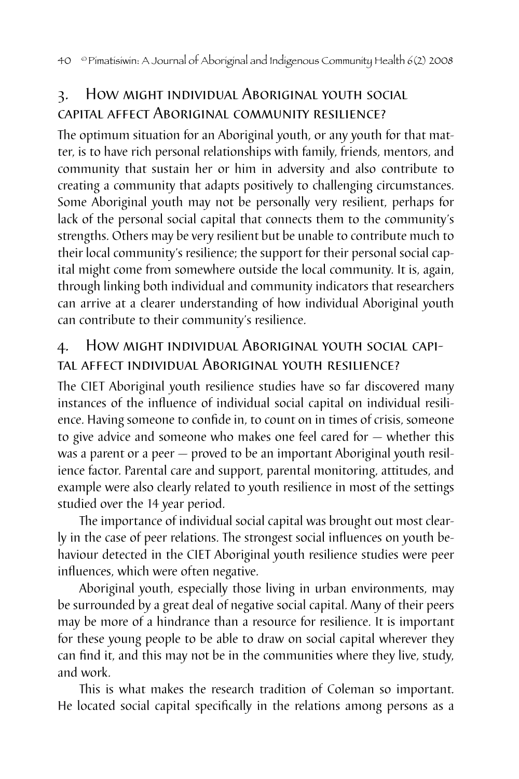## 3. How might individual Aboriginal youth social capital affect Aboriginal community resilience?

The optimum situation for an Aboriginal youth, or any youth for that matter, is to have rich personal relationships with family, friends, mentors, and community that sustain her or him in adversity and also contribute to creating a community that adapts positively to challenging circumstances. Some Aboriginal youth may not be personally very resilient, perhaps for lack of the personal social capital that connects them to the community's strengths. Others may be very resilient but be unable to contribute much to their local community's resilience; the support for their personal social capital might come from somewhere outside the local community. It is, again, through linking both individual and community indicators that researchers can arrive at a clearer understanding of how individual Aboriginal youth can contribute to their community's resilience.

## 4. How might individual Aboriginal youth social capital affect individual Aboriginal youth resilience?

The CIET Aboriginal youth resilience studies have so far discovered many instances of the influence of individual social capital on individual resilience. Having someone to confide in, to count on in times of crisis, someone to give advice and someone who makes one feel cared for — whether this was a parent or a peer — proved to be an important Aboriginal youth resilience factor. Parental care and support, parental monitoring, attitudes, and example were also clearly related to youth resilience in most of the settings studied over the 14 year period.

The importance of individual social capital was brought out most clearly in the case of peer relations. The strongest social influences on youth behaviour detected in the CIET Aboriginal youth resilience studies were peer influences, which were often negative.

Aboriginal youth, especially those living in urban environments, may be surrounded by a great deal of negative social capital. Many of their peers may be more of a hindrance than a resource for resilience. It is important for these young people to be able to draw on social capital wherever they can find it, and this may not be in the communities where they live, study, and work.

This is what makes the research tradition of Coleman so important. He located social capital specifically in the relations among persons as a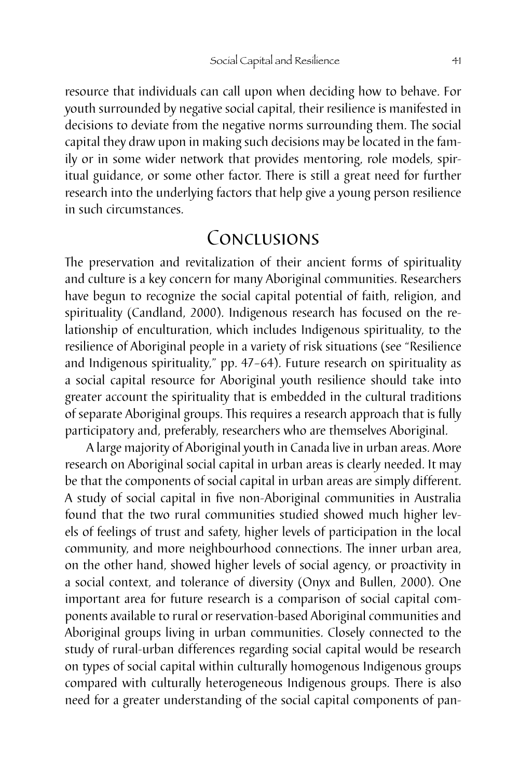resource that individuals can call upon when deciding how to behave. For youth surrounded by negative social capital, their resilience is manifested in decisions to deviate from the negative norms surrounding them. The social capital they draw upon in making such decisions may be located in the family or in some wider network that provides mentoring, role models, spiritual guidance, or some other factor. There is still a great need for further research into the underlying factors that help give a young person resilience in such circumstances.

## Conclusions

The preservation and revitalization of their ancient forms of spirituality and culture is a key concern for many Aboriginal communities. Researchers have begun to recognize the social capital potential of faith, religion, and spirituality (Candland, 2000). Indigenous research has focused on the relationship of enculturation, which includes Indigenous spirituality, to the resilience of Aboriginal people in a variety of risk situations (see "Resilience and Indigenous spirituality," pp. 47–64). Future research on spirituality as a social capital resource for Aboriginal youth resilience should take into greater account the spirituality that is embedded in the cultural traditions of separate Aboriginal groups. This requires a research approach that is fully participatory and, preferably, researchers who are themselves Aboriginal.

A large majority of Aboriginal youth in Canada live in urban areas. More research on Aboriginal social capital in urban areas is clearly needed. It may be that the components of social capital in urban areas are simply different. A study of social capital in five non-Aboriginal communities in Australia found that the two rural communities studied showed much higher levels of feelings of trust and safety, higher levels of participation in the local community, and more neighbourhood connections. The inner urban area, on the other hand, showed higher levels of social agency, or proactivity in a social context, and tolerance of diversity (Onyx and Bullen, 2000). One important area for future research is a comparison of social capital components available to rural or reservation-based Aboriginal communities and Aboriginal groups living in urban communities. Closely connected to the study of rural-urban differences regarding social capital would be research on types of social capital within culturally homogenous Indigenous groups compared with culturally heterogeneous Indigenous groups. There is also need for a greater understanding of the social capital components of pan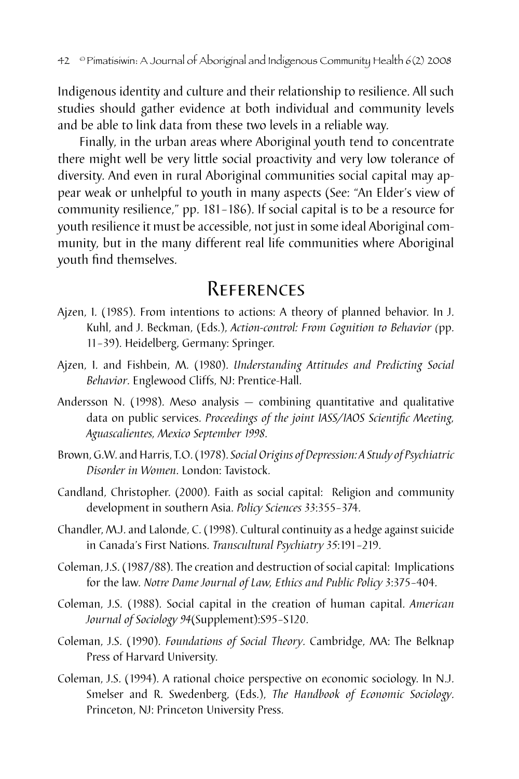Indigenous identity and culture and their relationship to resilience. All such studies should gather evidence at both individual and community levels and be able to link data from these two levels in a reliable way.

Finally, in the urban areas where Aboriginal youth tend to concentrate there might well be very little social proactivity and very low tolerance of diversity. And even in rural Aboriginal communities social capital may appear weak or unhelpful to youth in many aspects (See: "An Elder's view of community resilience," pp. 181–186). If social capital is to be a resource for youth resilience it must be accessible, not just in some ideal Aboriginal community, but in the many different real life communities where Aboriginal youth find themselves.

## **REFERENCES**

- Ajzen, I. (1985). From intentions to actions: A theory of planned behavior. In J. Kuhl, and J. Beckman, (Eds.), *Action-control: From Cognition to Behavior (*pp. 11–39). Heidelberg, Germany: Springer.
- Ajzen, I. and Fishbein, M. (1980). *Understanding Attitudes and Predicting Social Behavior*. Englewood Cliffs, NJ: Prentice-Hall.
- Andersson N. (1998). Meso analysis combining quantitative and qualitative data on public services. *Proceedings of the joint IASS/IAOS Scientific Meeting, Aguascalientes, Mexico September 1998*.
- Brown, G.W. and Harris, T.O. (1978). *Social Origins of Depression: A Study of Psychiatric Disorder in Women*. London: Tavistock.
- Candland, Christopher. (2000). Faith as social capital: Religion and community development in southern Asia. *Policy Sciences 33*:355–374.
- Chandler, M.J. and Lalonde, C. (1998). Cultural continuity as a hedge against suicide in Canada's First Nations. *Transcultural Psychiatry 35*:191–219.
- Coleman, J.S. (1987/88). The creation and destruction of social capital: Implications for the law. *Notre Dame Journal of Law, Ethics and Public Policy 3*:375–404.
- Coleman, J.S. (1988). Social capital in the creation of human capital. *American Journal of Sociology 94*(Supplement):S95–S120.
- Coleman, J.S. (1990). *Foundations of Social Theory*. Cambridge, MA: The Belknap Press of Harvard University.
- Coleman, J.S. (1994). A rational choice perspective on economic sociology. In N.J. Smelser and R. Swedenberg, (Eds.), *The Handbook of Economic Sociology*. Princeton, NJ: Princeton University Press.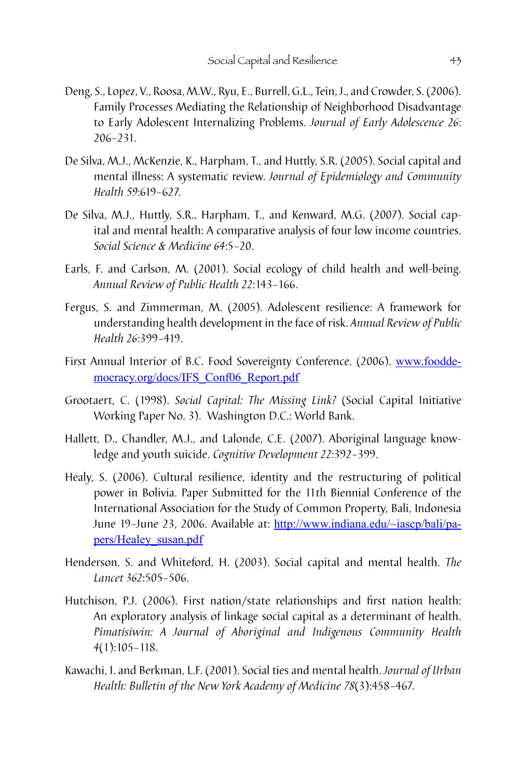- Deng, S., Lopez, V., Roosa, M.W., Ryu, E., Burrell, G.L., Tein, J., and Crowder, S. (2006). Family Processes Mediating the Relationship of Neighborhood Disadvantage to Early Adolescent Internalizing Problems. *Journal of Early Adolescence 26*: 206–231.
- De Silva, M.J., McKenzie, K., Harpham, T., and Huttly, S.R. (2005). Social capital and mental illness: A systematic review. *Journal of Epidemiology and Community Health 59*:619–627.
- De Silva, M.J., Huttly, S.R., Harpham, T., and Kenward, M.G. (2007). Social capital and mental health: A comparative analysis of four low income countries. *Social Science & Medicine 64*:5–20.
- Earls, F. and Carlson, M. (2001). Social ecology of child health and well-being. *Annual Review of Public Health 22*:143–166.
- Fergus, S. and Zimmerman, M. (2005). Adolescent resilience: A framework for understanding health development in the face of risk. *Annual Review of Public Health 26*:399–419.
- First Annual Interior of B.C. Food Sovereignty Conference. (2006). [www.foodde](http://www.fooddemocracy.org/docs/IFS_Conf06_Report.pdf)[mocracy.org/docs/IFS\\_Conf06\\_Report.pdf](http://www.fooddemocracy.org/docs/IFS_Conf06_Report.pdf)
- Grootaert, C. (1998). *Social Capital: The Missing Link?* (Social Capital Initiative Working Paper No. 3). Washington D.C.: World Bank.
- Hallett, D., Chandler, M.J., and Lalonde, C.E. (2007). Aboriginal language knowledge and youth suicide. *Cognitive Development 22*:392–399.
- Healy, S. (2006). Cultural resilience, identity and the restructuring of political power in Bolivia. Paper Submitted for the 11th Biennial Conference of the International Association for the Study of Common Property, Bali, Indonesia June 19–June 23, 2006. Available at: [http://www.indiana.edu/~iascp/bali/pa](http://www.indiana.edu/~iascp/bali/papers/Healey_susan.pdf)[pers/Healey\\_susan.pdf](http://www.indiana.edu/~iascp/bali/papers/Healey_susan.pdf)
- Henderson, S. and Whiteford, H. (2003). Social capital and mental health. *The Lancet 362*:505–506.
- Hutchison, P.J. (2006). First nation/state relationships and first nation health: An exploratory analysis of linkage social capital as a determinant of health. *Pimatisiwin: A Journal of Aboriginal and Indigenous Community Health 4*(1):105–118.
- Kawachi, I. and Berkman, L.F. (2001). Social ties and mental health. *Journal of Urban Health: Bulletin of the New York Academy of Medicine 78*(3):458–467.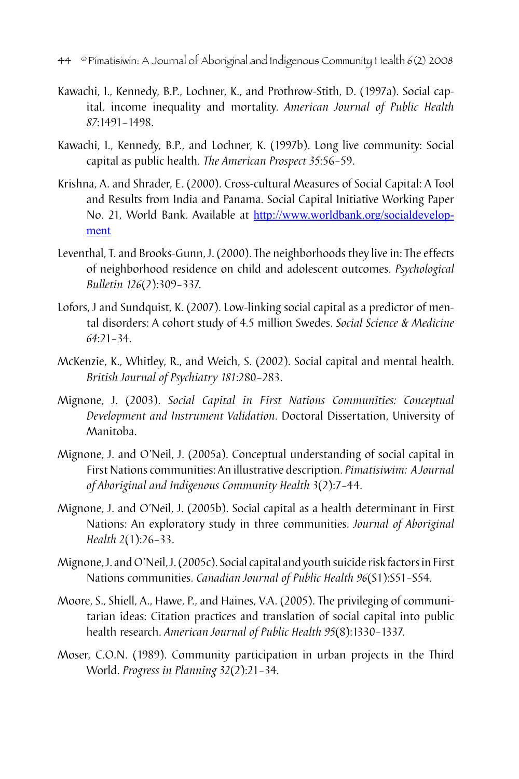- 44 © Pimatisiwin: A Journal of Aboriginal and Indigenous Community Health 6(2) 2008
- Kawachi, I., Kennedy, B.P., Lochner, K., and Prothrow-Stith, D. (1997a). Social capital, income inequality and mortality. *American Journal of Public Health 87*:1491–1498.
- Kawachi, I., Kennedy, B.P., and Lochner, K. (1997b). Long live community: Social capital as public health. *The American Prospect 35*:56–59.
- Krishna, A. and Shrader, E. (2000). Cross-cultural Measures of Social Capital: A Tool and Results from India and Panama. Social Capital Initiative Working Paper No. 21, World Bank. Available at [http://www.worldbank.org/socialdevelop](http://www.worldbank.org/socialdevelopment)[ment](http://www.worldbank.org/socialdevelopment)
- Leventhal, T. and Brooks-Gunn, J. (2000). The neighborhoods they live in: The effects of neighborhood residence on child and adolescent outcomes. *Psychological Bulletin 126*(2):309–337.
- Lofors, J and Sundquist, K. (2007). Low-linking social capital as a predictor of mental disorders: A cohort study of 4.5 million Swedes. *Social Science & Medicine 64*:21–34.
- McKenzie, K., Whitley, R., and Weich, S. (2002). Social capital and mental health. *British Journal of Psychiatry 181*:280–283.
- Mignone, J. (2003). *Social Capital in First Nations Communities: Conceptual Development and Instrument Validation*. Doctoral Dissertation, University of Manitoba.
- Mignone, J. and O'Neil, J. (2005a). Conceptual understanding of social capital in First Nations communities: An illustrative description. *Pimatisiwim: A Journal of Aboriginal and Indigenous Community Health 3*(2):7–44.
- Mignone, J. and O'Neil, J. (2005b). Social capital as a health determinant in First Nations: An exploratory study in three communities. *Journal of Aboriginal Health 2*(1):26–33.
- Mignone, J. and O'Neil, J. (2005c). Social capital and youth suicide risk factors in First Nations communities. *Canadian Journal of Public Health 96*(S1):S51–S54.
- Moore, S., Shiell, A., Hawe, P., and Haines, V.A. (2005). The privileging of communitarian ideas: Citation practices and translation of social capital into public health research. *American Journal of Public Health 95*(8):1330–1337.
- Moser, C.O.N. (1989). Community participation in urban projects in the Third World. *Progress in Planning 32*(2):21–34.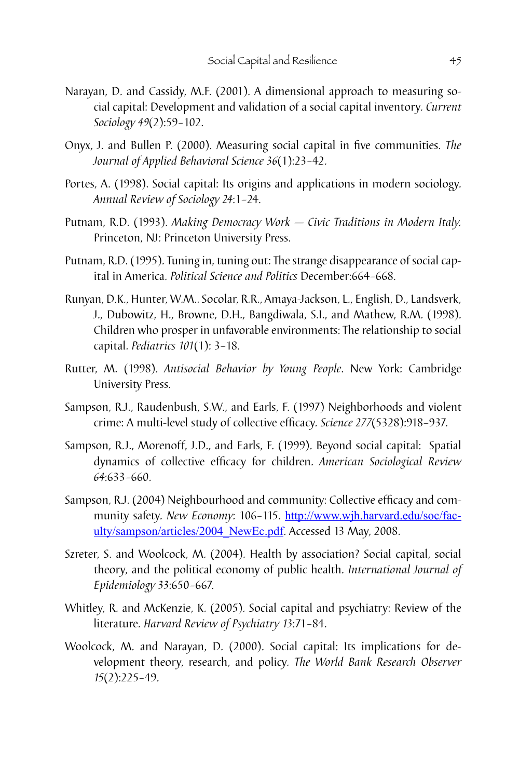- Narayan, D. and Cassidy, M.F. (2001). A dimensional approach to measuring social capital: Development and validation of a social capital inventory. *Current Sociology 49*(2):59–102.
- Onyx, J. and Bullen P. (2000). Measuring social capital in five communities. *The Journal of Applied Behavioral Science 36*(1):23–42.
- Portes, A. (1998). Social capital: Its origins and applications in modern sociology. *Annual Review of Sociology 24*:1–24.
- Putnam, R.D. (1993). *Making Democracy Work Civic Traditions in Modern Italy.* Princeton, NJ: Princeton University Press.
- Putnam, R.D. (1995). Tuning in, tuning out: The strange disappearance of social capital in America. *Political Science and Politics* December:664–668.
- Runyan, D.K., Hunter, W.M.. Socolar, R.R., Amaya-Jackson, L., English, D., Landsverk, J., Dubowitz, H., Browne, D.H., Bangdiwala, S.I., and Mathew, R.M. (1998). Children who prosper in unfavorable environments: The relationship to social capital. *Pediatrics 101*(1): 3–18.
- Rutter, M. (1998). *Antisocial Behavior by Young People*. New York: Cambridge University Press.
- Sampson, R.J., Raudenbush, S.W., and Earls, F. (1997) Neighborhoods and violent crime: A multi-level study of collective efficacy. *Science 277*(5328):918–937.
- Sampson, R.J., Morenoff, J.D., and Earls, F. (1999). Beyond social capital: Spatial dynamics of collective efficacy for children. *American Sociological Review 64*:633–660.
- Sampson, R.J. (2004) Neighbourhood and community: Collective efficacy and community safety. New Economy: 106-115. [http://www.wjh.harvard.edu/soc/fac](http://www.wjh.harvard.edu/soc/faculty/sampson/articles/2004_NewEc.pdf)[ulty/sampson/articles/2004\\_NewEc.pdf](http://www.wjh.harvard.edu/soc/faculty/sampson/articles/2004_NewEc.pdf). Accessed 13 May, 2008.
- Szreter, S. and Woolcock, M. (2004). Health by association? Social capital, social theory, and the political economy of public health. *International Journal of Epidemiology 33*:650–667.
- Whitley, R. and McKenzie, K. (2005). Social capital and psychiatry: Review of the literature. *Harvard Review of Psychiatry 13*:71–84.
- Woolcock, M. and Narayan, D. (2000). Social capital: Its implications for development theory, research, and policy. *The World Bank Research Observer 15*(2):225–49.